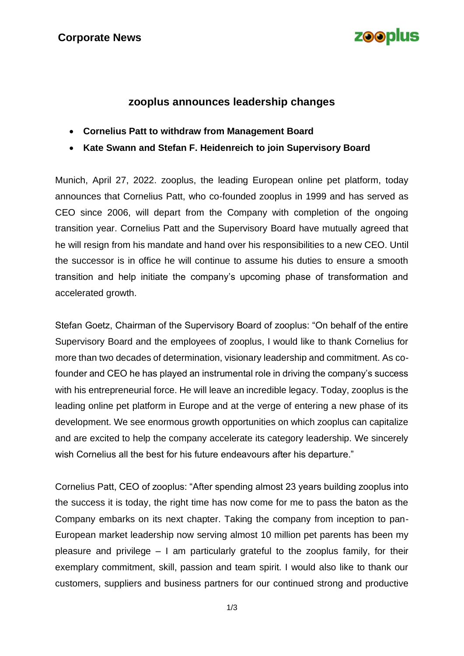

### **zooplus announces leadership changes**

- **Cornelius Patt to withdraw from Management Board**
- **Kate Swann and Stefan F. Heidenreich to join Supervisory Board**

Munich, April 27, 2022. zooplus, the leading European online pet platform, today announces that Cornelius Patt, who co-founded zooplus in 1999 and has served as CEO since 2006, will depart from the Company with completion of the ongoing transition year. Cornelius Patt and the Supervisory Board have mutually agreed that he will resign from his mandate and hand over his responsibilities to a new CEO. Until the successor is in office he will continue to assume his duties to ensure a smooth transition and help initiate the company's upcoming phase of transformation and accelerated growth.

Stefan Goetz, Chairman of the Supervisory Board of zooplus: "On behalf of the entire Supervisory Board and the employees of zooplus, I would like to thank Cornelius for more than two decades of determination, visionary leadership and commitment. As cofounder and CEO he has played an instrumental role in driving the company's success with his entrepreneurial force. He will leave an incredible legacy. Today, zooplus is the leading online pet platform in Europe and at the verge of entering a new phase of its development. We see enormous growth opportunities on which zooplus can capitalize and are excited to help the company accelerate its category leadership. We sincerely wish Cornelius all the best for his future endeavours after his departure."

Cornelius Patt, CEO of zooplus: "After spending almost 23 years building zooplus into the success it is today, the right time has now come for me to pass the baton as the Company embarks on its next chapter. Taking the company from inception to pan-European market leadership now serving almost 10 million pet parents has been my pleasure and privilege – I am particularly grateful to the zooplus family, for their exemplary commitment, skill, passion and team spirit. I would also like to thank our customers, suppliers and business partners for our continued strong and productive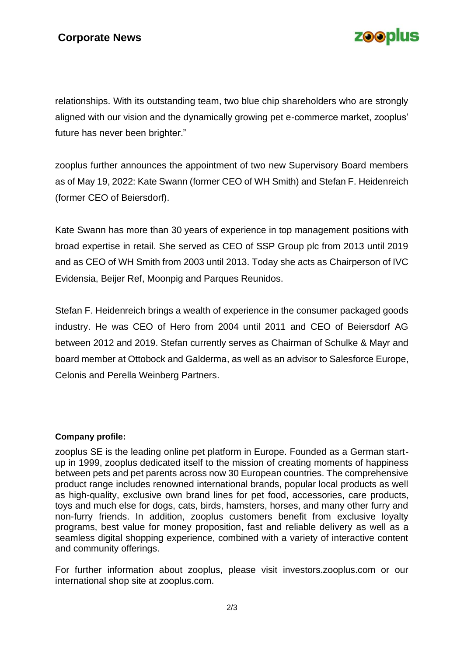# **zooplus**

relationships. With its outstanding team, two blue chip shareholders who are strongly aligned with our vision and the dynamically growing pet e-commerce market, zooplus' future has never been brighter."

zooplus further announces the appointment of two new Supervisory Board members as of May 19, 2022: Kate Swann (former CEO of WH Smith) and Stefan F. Heidenreich (former CEO of Beiersdorf).

Kate Swann has more than 30 years of experience in top management positions with broad expertise in retail. She served as CEO of SSP Group plc from 2013 until 2019 and as CEO of WH Smith from 2003 until 2013. Today she acts as Chairperson of IVC Evidensia, Beijer Ref, Moonpig and Parques Reunidos.

Stefan F. Heidenreich brings a wealth of experience in the consumer packaged goods industry. He was CEO of Hero from 2004 until 2011 and CEO of Beiersdorf AG between 2012 and 2019. Stefan currently serves as Chairman of Schulke & Mayr and board member at Ottobock and Galderma, as well as an advisor to Salesforce Europe, Celonis and Perella Weinberg Partners.

#### **Company profile:**

zooplus SE is the leading online pet platform in Europe. Founded as a German startup in 1999, zooplus dedicated itself to the mission of creating moments of happiness between pets and pet parents across now 30 European countries. The comprehensive product range includes renowned international brands, popular local products as well as high-quality, exclusive own brand lines for pet food, accessories, care products, toys and much else for dogs, cats, birds, hamsters, horses, and many other furry and non-furry friends. In addition, zooplus customers benefit from exclusive loyalty programs, best value for money proposition, fast and reliable delivery as well as a seamless digital shopping experience, combined with a variety of interactive content and community offerings.

For further information about zooplus, please visit investors.zooplus.com or our international shop site at zooplus.com.